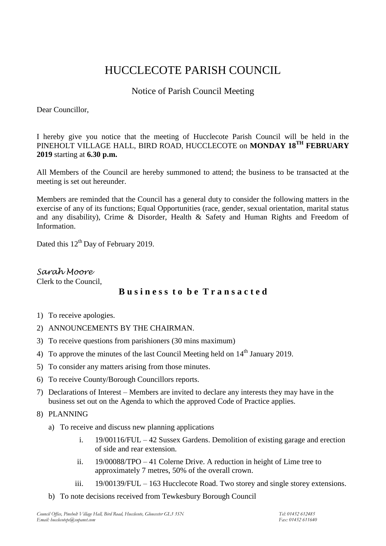# HUCCLECOTE PARISH COUNCIL

# Notice of Parish Council Meeting

Dear Councillor,

I hereby give you notice that the meeting of Hucclecote Parish Council will be held in the PINEHOLT VILLAGE HALL, BIRD ROAD, HUCCLECOTE on **MONDAY 18TH FEBRUARY 2019** starting at **6.30 p.m.**

All Members of the Council are hereby summoned to attend; the business to be transacted at the meeting is set out hereunder.

Members are reminded that the Council has a general duty to consider the following matters in the exercise of any of its functions; Equal Opportunities (race, gender, sexual orientation, marital status and any disability), Crime & Disorder, Health & Safety and Human Rights and Freedom of Information.

Dated this 12<sup>th</sup> Day of February 2019.

*Sarah Moore* Clerk to the Council,

## **B u s i n e s s t o b e T r a n s a c t e d**

- 1) To receive apologies.
- 2) ANNOUNCEMENTS BY THE CHAIRMAN.
- 3) To receive questions from parishioners (30 mins maximum)
- 4) To approve the minutes of the last Council Meeting held on  $14<sup>th</sup>$  January 2019.
- 5) To consider any matters arising from those minutes.
- 6) To receive County/Borough Councillors reports.
- 7) Declarations of Interest Members are invited to declare any interests they may have in the business set out on the Agenda to which the approved Code of Practice applies.
- 8) PLANNING
	- a) To receive and discuss new planning applications
		- i. 19/00116/FUL 42 Sussex Gardens. Demolition of existing garage and erection of side and rear extension.
		- ii. 19/00088/TPO 41 Colerne Drive. A reduction in height of Lime tree to approximately 7 metres, 50% of the overall crown.
		- iii. 19/00139/FUL 163 Hucclecote Road. Two storey and single storey extensions.
	- b) To note decisions received from Tewkesbury Borough Council